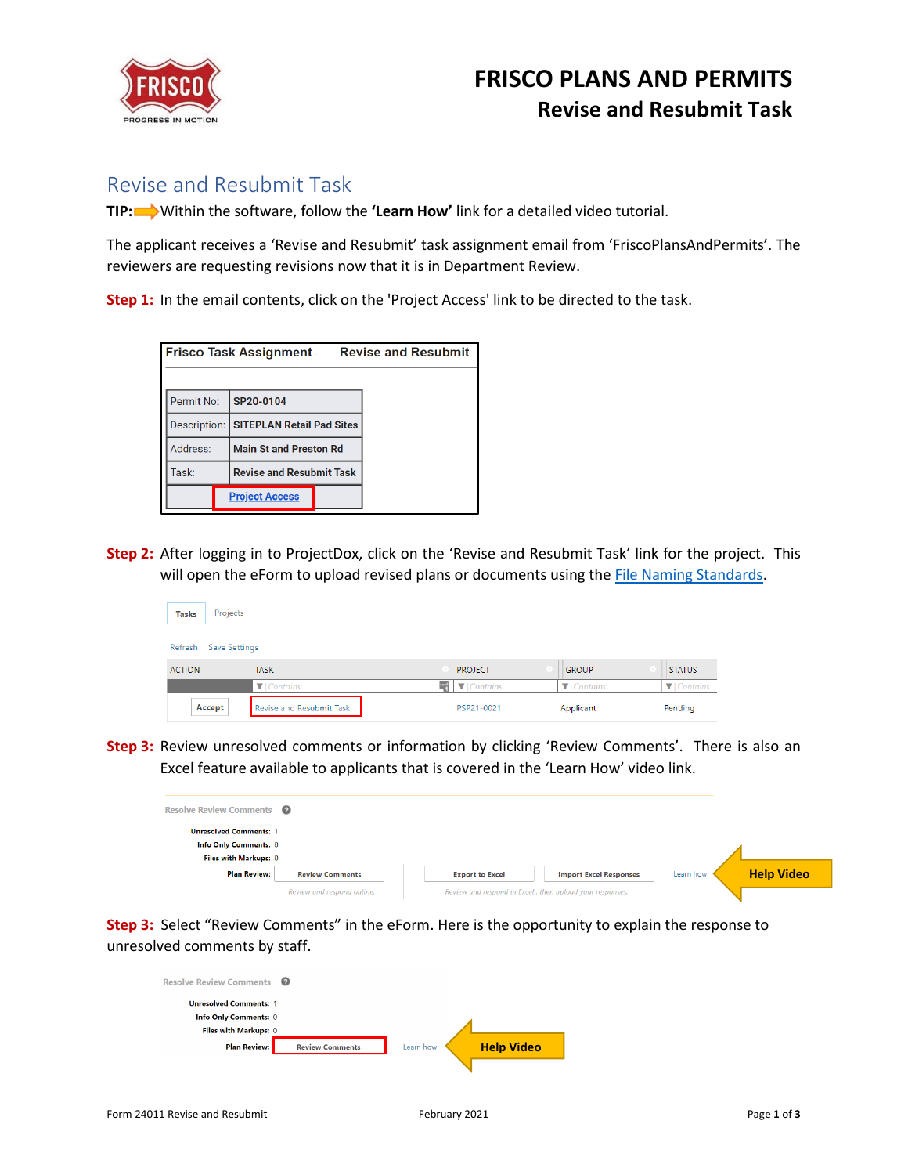

## Revise and Resubmit Task

**TIP:** Within the software, follow the **'Learn How'** link for a detailed video tutorial.

The applicant receives a 'Revise and Resubmit' task assignment email from 'FriscoPlansAndPermits'. The reviewers are requesting revisions now that it is in Department Review.

**Step 1:** In the email contents, click on the 'Project Access' link to be directed to the task.

|            | <b>Revise and Resubmit</b><br>Frisco Task Assignment |
|------------|------------------------------------------------------|
|            |                                                      |
| Permit No: | SP20-0104                                            |
|            | Description: SITEPLAN Retail Pad Sites               |
| Address:   | <b>Main St and Preston Rd</b>                        |
| Task:      | <b>Revise and Resubmit Task</b>                      |
|            | <b>Project Access</b>                                |

**Step 2:** After logging in to ProjectDox, click on the 'Revise and Resubmit Task' link for the project. This will open the eForm to upload revised plans or documents using th[e File Naming Standards.](https://www.friscotexas.gov/DocumentCenter/View/24015)

| <b>Tasks</b>  | Projects              |                                 |  |                |                               |                               |  |  |  |
|---------------|-----------------------|---------------------------------|--|----------------|-------------------------------|-------------------------------|--|--|--|
|               | Refresh Save Settings |                                 |  |                |                               |                               |  |  |  |
| <b>ACTION</b> |                       | <b>TASK</b>                     |  | <b>PROJECT</b> | <b>GROUP</b>                  | <b>STATUS</b>                 |  |  |  |
|               |                       | ▼ Contains                      |  | $\P$ Contains  | $\blacktriangledown$ Contains | $\blacktriangledown$ Contains |  |  |  |
|               | Accept                | <b>Revise and Resubmit Task</b> |  | PSP21-0021     | Applicant                     | Pending                       |  |  |  |

**Step 3:** Review unresolved comments or information by clicking 'Review Comments'. There is also an Excel feature available to applicants that is covered in the 'Learn How' video link.

| Resolve Review Comments <sup>2</sup>                   |                            |                                                          |                               |           |                   |
|--------------------------------------------------------|----------------------------|----------------------------------------------------------|-------------------------------|-----------|-------------------|
| <b>Unresolved Comments: 1</b><br>Info Only Comments: 0 |                            |                                                          |                               |           |                   |
| Files with Markups: 0                                  |                            |                                                          |                               |           |                   |
| <b>Plan Review:</b>                                    | <b>Review Comments</b>     | <b>Export to Excel</b>                                   | <b>Import Excel Responses</b> | Learn how | <b>Help Video</b> |
|                                                        | Review and respond online. | Review and respond in Excel, then upload your responses. |                               |           |                   |

**Step 3:** Select "Review Comments" in the eForm. Here is the opportunity to explain the response to unresolved comments by staff.

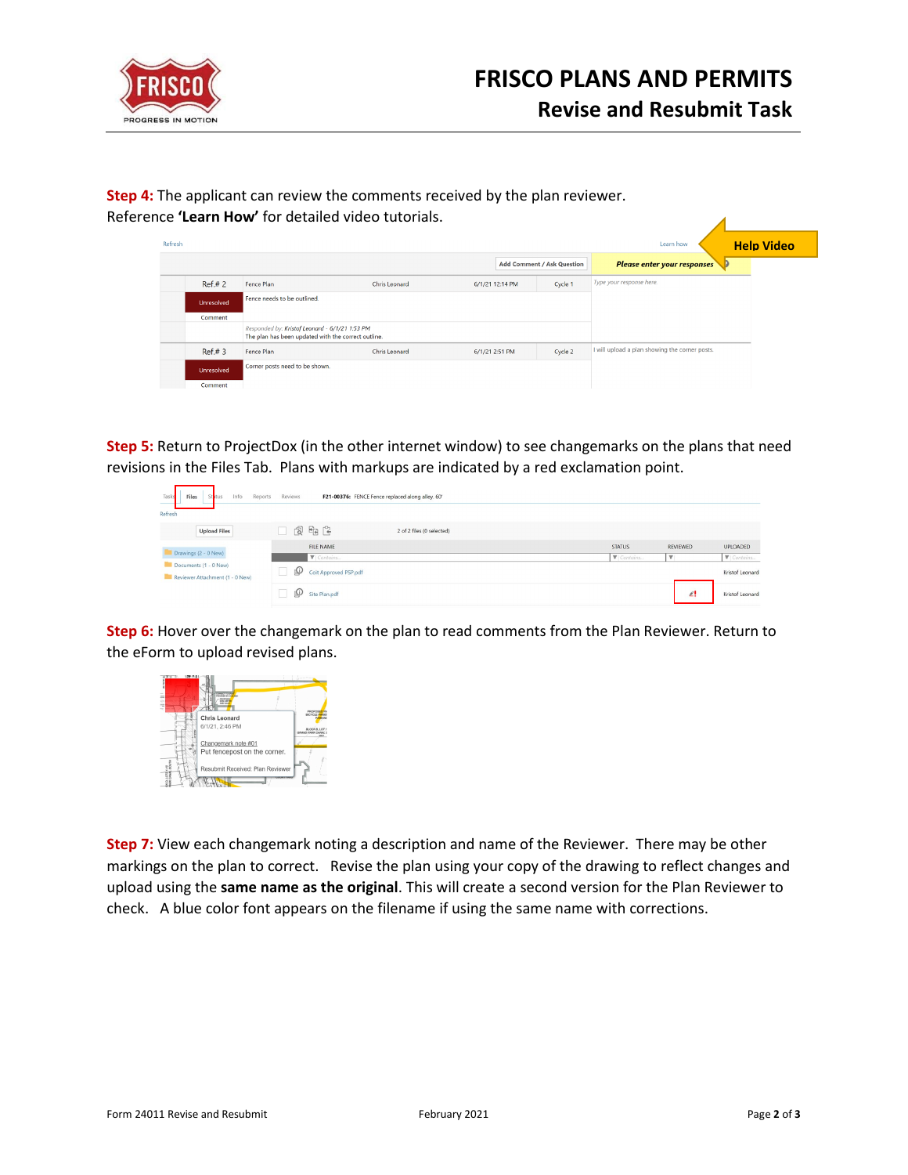

| Refresh           |                                                                                                       |               |                 |                            | Learn how                                      | <b>Help Video</b> |
|-------------------|-------------------------------------------------------------------------------------------------------|---------------|-----------------|----------------------------|------------------------------------------------|-------------------|
|                   |                                                                                                       |               |                 | Add Comment / Ask Question | <b>Please enter your responses</b>             |                   |
| Ref#2             | Fence Plan                                                                                            | Chris Leonard | 6/1/21 12:14 PM | Cycle 1                    | Type your response here.                       |                   |
| <b>Unresolved</b> | Fence needs to be outlined.                                                                           |               |                 |                            |                                                |                   |
| Comment           |                                                                                                       |               |                 |                            |                                                |                   |
|                   | Responded by: Kristof Leonard - 6/1/21 1:53 PM<br>The plan has been updated with the correct outline. |               |                 |                            |                                                |                   |
| Ref#3             | Fence Plan                                                                                            | Chris Leonard | 6/1/21 2:51 PM  | Cycle 2                    | I will upload a plan showing the corner posts. |                   |
| Unresolved        | Corner posts need to be shown.                                                                        |               |                 |                            |                                                |                   |
| Comment           |                                                                                                       |               |                 |                            |                                                |                   |

**Step 4:** The applicant can review the comments received by the plan reviewer.

**Step 5:** Return to ProjectDox (in the other internet window) to see changemarks on the plans that need revisions in the Files Tab. Plans with markups are indicated by a red exclamation point.

| Tasks<br>Files<br>Info<br>Reports<br>Status<br>_         | Reviews | F21-00376: FENCE Fence replaced along alley. 60' |                           |  |                   |                         |                 |
|----------------------------------------------------------|---------|--------------------------------------------------|---------------------------|--|-------------------|-------------------------|-----------------|
| Refresh                                                  |         |                                                  |                           |  |                   |                         |                 |
| <b>Upload Files</b>                                      | 同时日     |                                                  | 2 of 2 files (0 selected) |  |                   |                         |                 |
|                                                          |         | FILE NAME                                        |                           |  | <b>STATUS</b>     | REVIEWED                | UPLOADED        |
| Drawings (2 - 0 New)                                     |         | <b>V</b> Contains                                |                           |  | <b>V</b> Contains | $\overline{\mathbf{v}}$ | V Contains      |
| Documents (1 - 0 New)<br>Reviewer Attachment (1 - 0 New) | ழ       | Coit Approved PSP.pdf                            |                           |  |                   |                         | Kristof Leonard |
|                                                          | ⊕       | Site Plan.pdf                                    |                           |  |                   | £!                      | Kristof Leonard |

**Step 6:** Hover over the changemark on the plan to read comments from the Plan Reviewer. Return to the eForm to upload revised plans.



**Step 7:** View each changemark noting a description and name of the Reviewer. There may be other markings on the plan to correct. Revise the plan using your copy of the drawing to reflect changes and upload using the **same name as the original**. This will create a second version for the Plan Reviewer to check. A blue color font appears on the filename if using the same name with corrections.